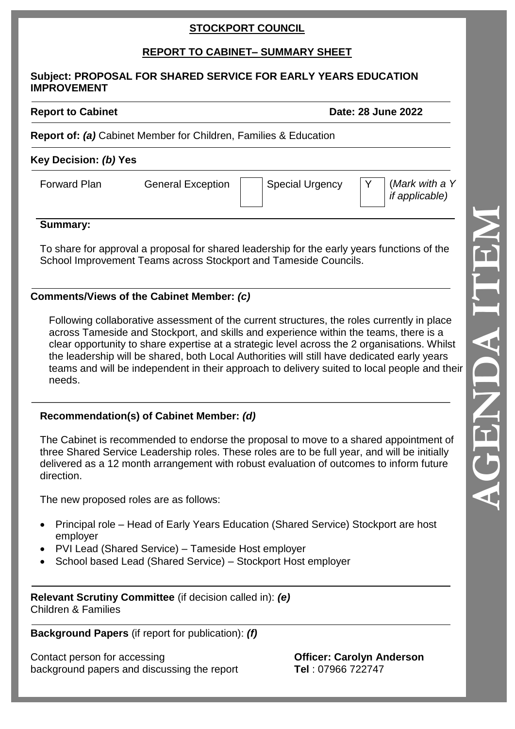# **STOCKPORT COUNCIL**

# **REPORT TO CABINET – SUMMARY SHEET**

#### **Subject: PROPOSAL FOR SHARED SERVICE FOR EARLY YEARS EDUCATION IMPROVEMENT**

**Report to Cabinet Date: 28 June 2022**

**Report of:** *(a)* Cabinet Member for Children, Families & Education

## **Key Decision:** *(b)* **Yes**

Forward Plan General Exception | Special Urgency Y (*Mark with a Y if applicable)*

## **Summary:**

To share for approval a proposal for shared leadership for the early years functions of the School Improvement Teams across Stockport and Tameside Councils.

## **Comments/Views of the Cabinet Member:** *(c)*

Following collaborative assessment of the current structures, the roles currently in place across Tameside and Stockport, and skills and experience within the teams, there is a clear opportunity to share expertise at a strategic level across the 2 organisations. Whilst the leadership will be shared, both Local Authorities will still have dedicated early years teams and will be independent in their approach to delivery suited to local people and their needs.

## **Recommendation(s) of Cabinet Member:** *(d)*

The Cabinet is recommended to endorse the proposal to move to a shared appointment of three Shared Service Leadership roles. These roles are to be full year, and will be initially delivered as a 12 month arrangement with robust evaluation of outcomes to inform future direction.

The new proposed roles are as follows:

- Principal role Head of Early Years Education (Shared Service) Stockport are host employer
- PVI Lead (Shared Service) Tameside Host employer
- School based Lead (Shared Service) Stockport Host employer

**Relevant Scrutiny Committee** (if decision called in): *(e)* Children & Families

**Background Papers** (if report for publication): *(f)*

Contact person for accessing **Officer: Carolyn Anderson** background papers and discussing the report **Tel** : 07966 722747